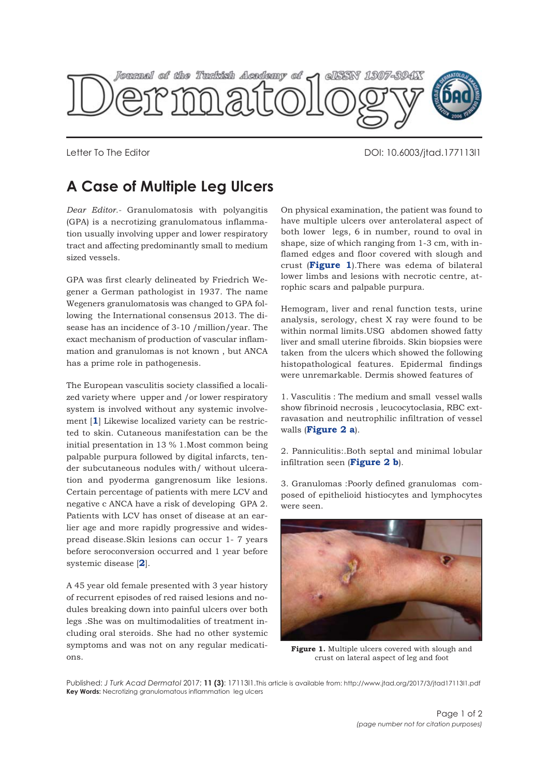

Letter To The Editor National Communication of the Editor DOI: 10.6003/jtad.177113l1

## **A Case of Multiple Leg Ulcers**

*Dear Editor.-* Granulomatosis with polyangitis (GPA) is a necrotizing granulomatous inflammation usually involving upper and lower respiratory tract and affecting predominantly small to medium sized vessels.

GPA was first clearly delineated by Friedrich Wegener a German pathologist in 1937. The name Wegeners granulomatosis was changed to GPA following the International consensus 2013. The disease has an incidence of 3-10 /million/year. The exact mechanism of production of vascular inflammation and granulomas is not known , but ANCA has a prime role in pathogenesis.

The European vasculitis society classified a localized variety where upper and /or lower respiratory system is involved without any systemic involvement [**[1](#page-1-0)**] Likewise localized variety can be restricted to skin. Cutaneous manifestation can be the initial presentation in 13 % 1.Most common being palpable purpura followed by digital infarcts, tender subcutaneous nodules with/ without ulceration and pyoderma gangrenosum like lesions. Certain percentage of patients with mere LCV and negative c ANCA have a risk of developing GPA 2. Patients with LCV has onset of disease at an earlier age and more rapidly progressive and widespread disease.Skin lesions can occur 1- 7 years before seroconversion occurred and 1 year before systemic disease [**[2](#page-1-0)**].

A 45 year old female presented with 3 year history of recurrent episodes of red raised lesions and nodules breaking down into painful ulcers over both legs .She was on multimodalities of treatment including oral steroids. She had no other systemic symptoms and was not on any regular medications.

On physical examination, the patient was found to have multiple ulcers over anterolateral aspect of both lower legs, 6 in number, round to oval in shape, size of which ranging from 1-3 cm, with inflamed edges and floor covered with slough and crust (**Figure 1**).There was edema of bilateral lower limbs and lesions with necrotic centre, atrophic scars and palpable purpura.

Hemogram, liver and renal function tests, urine analysis, serology, chest X ray were found to be within normal limits.USG abdomen showed fatty liver and small uterine fibroids. Skin biopsies were taken from the ulcers which showed the following histopathological features. Epidermal findings were unremarkable. Dermis showed features of

1. Vasculitis : The medium and small vessel walls show fibrinoid necrosis , leucocytoclasia, RBC extravasation and neutrophilic infiltration of vessel walls (**[Figure 2 a](#page-1-0)**).

2. Panniculitis:.Both septal and minimal lobular infiltration seen (**[Figure 2 b](#page-1-0)**).

3. Granulomas :Poorly defined granulomas composed of epithelioid histiocytes and lymphocytes were seen.



Figure 1. Multiple ulcers covered with slough and crust on lateral aspect of leg and foot

Published: *J Turk Acad Dermatol* 2017; **11 (3)**: 17113l1.This article is available from: http://www.jtad.org/2017/3/jtad17113l1.pdf **Key Words:** Necrotizing granulomatous inflammation leg ulcers